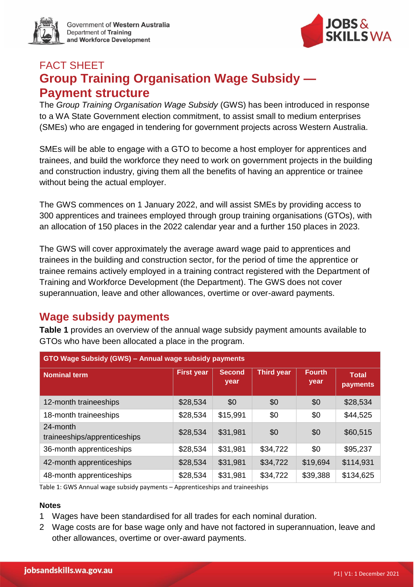

Government of Western Australia Department of Training and Workforce Development



# FACT SHEET **Group Training Organisation Wage Subsidy — Payment structure**

The *Group Training Organisation Wage Subsidy* (GWS) has been introduced in response to a WA State Government election commitment, to assist small to medium enterprises (SMEs) who are engaged in tendering for government projects across Western Australia.

SMEs will be able to engage with a GTO to become a host employer for apprentices and trainees, and build the workforce they need to work on government projects in the building and construction industry, giving them all the benefits of having an apprentice or trainee without being the actual employer.

The GWS commences on 1 January 2022, and will assist SMEs by providing access to 300 apprentices and trainees employed through group training organisations (GTOs), with an allocation of 150 places in the 2022 calendar year and a further 150 places in 2023.

The GWS will cover approximately the average award wage paid to apprentices and trainees in the building and construction sector, for the period of time the apprentice or trainee remains actively employed in a training contract registered with the Department of Training and Workforce Development (the Department). The GWS does not cover superannuation, leave and other allowances, overtime or over-award payments.

# **Wage subsidy payments**

**Table 1** provides an overview of the annual wage subsidy payment amounts available to GTOs who have been allocated a place in the program.

| GTO Wage Subsidy (GWS) - Annual wage subsidy payments |                   |                       |                   |                       |                          |
|-------------------------------------------------------|-------------------|-----------------------|-------------------|-----------------------|--------------------------|
| <b>Nominal term</b>                                   | <b>First year</b> | <b>Second</b><br>year | <b>Third year</b> | <b>Fourth</b><br>year | <b>Total</b><br>payments |
| 12-month traineeships                                 | \$28,534          | \$0                   | \$0               | \$0                   | \$28,534                 |
| 18-month traineeships                                 | \$28,534          | \$15,991              | \$0               | \$0                   | \$44,525                 |
| 24-month<br>traineeships/apprenticeships              | \$28,534          | \$31,981              | \$0               | \$0                   | \$60,515                 |
| 36-month apprenticeships                              | \$28,534          | \$31,981              | \$34,722          | \$0                   | \$95,237                 |
| 42-month apprenticeships                              | \$28,534          | \$31,981              | \$34,722          | \$19,694              | \$114,931                |
| 48-month apprenticeships                              | \$28,534          | \$31,981              | \$34,722          | \$39,388              | \$134,625                |

Table 1: GWS Annual wage subsidy payments – Apprenticeships and traineeships

#### **Notes**

- 1 Wages have been standardised for all trades for each nominal duration.
- 2 Wage costs are for base wage only and have not factored in superannuation, leave and other allowances, overtime or over-award payments.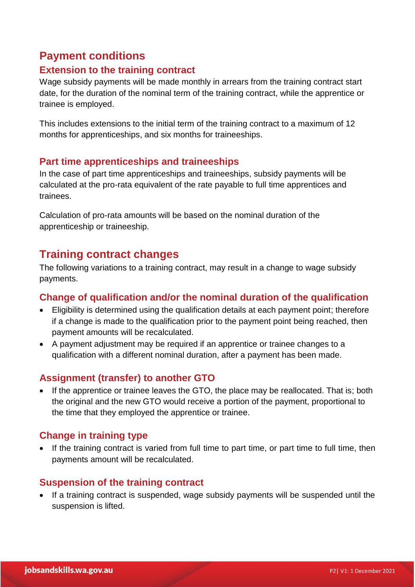# **Payment conditions**

### **Extension to the training contract**

Wage subsidy payments will be made monthly in arrears from the training contract start date, for the duration of the nominal term of the training contract, while the apprentice or trainee is employed.

This includes extensions to the initial term of the training contract to a maximum of 12 months for apprenticeships, and six months for traineeships.

### **Part time apprenticeships and traineeships**

In the case of part time apprenticeships and traineeships, subsidy payments will be calculated at the pro-rata equivalent of the rate payable to full time apprentices and trainees.

Calculation of pro-rata amounts will be based on the nominal duration of the apprenticeship or traineeship.

# **Training contract changes**

The following variations to a training contract, may result in a change to wage subsidy payments.

### **Change of qualification and/or the nominal duration of the qualification**

- Eligibility is determined using the qualification details at each payment point; therefore if a change is made to the qualification prior to the payment point being reached, then payment amounts will be recalculated.
- A payment adjustment may be required if an apprentice or trainee changes to a qualification with a different nominal duration, after a payment has been made.

### **Assignment (transfer) to another GTO**

• If the apprentice or trainee leaves the GTO, the place may be reallocated. That is; both the original and the new GTO would receive a portion of the payment, proportional to the time that they employed the apprentice or trainee.

### **Change in training type**

• If the training contract is varied from full time to part time, or part time to full time, then payments amount will be recalculated.

### **Suspension of the training contract**

• If a training contract is suspended, wage subsidy payments will be suspended until the suspension is lifted.